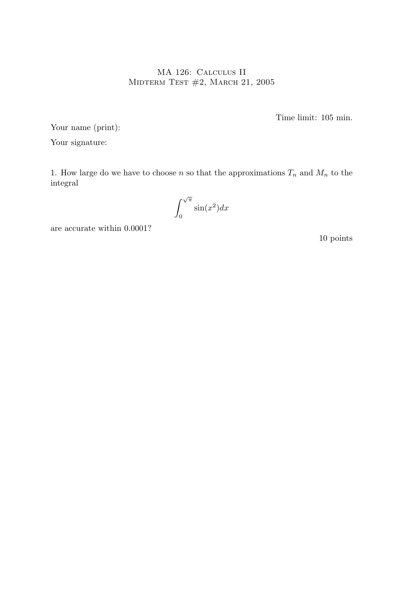## MA 126: Calculus II MIDTERM TEST  $#2$ , MARCH 21, 2005

Time limit: 105 min.

Your name (print):

Your signature:

1. How large do we have to choose n so that the approximations  $T_n$  and  $M_n$  to the integral

$$
\int_0^{\sqrt{\pi}} \sin(x^2) dx
$$

are accurate within 0.0001?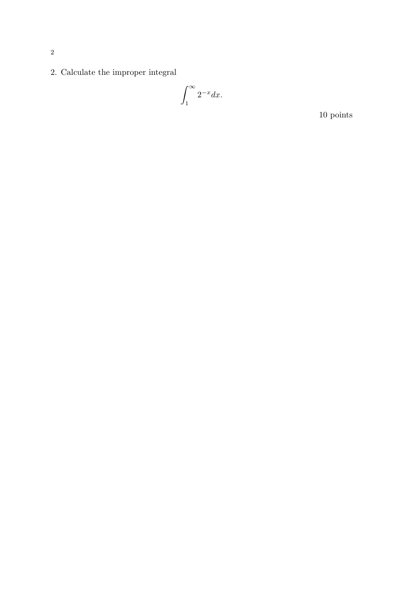2. Calculate the improper integral

$$
\int_1^\infty 2^{-x} dx.
$$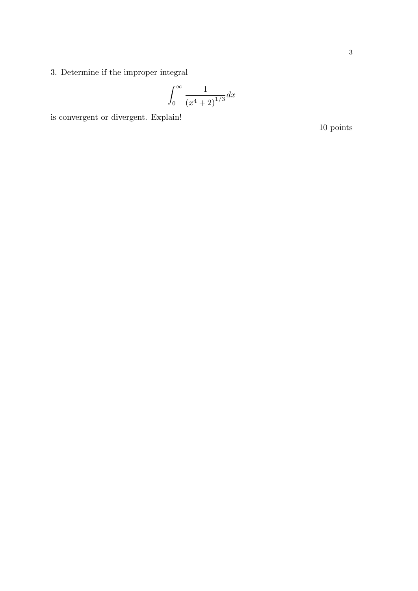3. Determine if the improper integral

$$
\int_0^\infty \frac{1}{\left(x^4+2\right)^{1/3}} dx
$$

is convergent or divergent. Explain!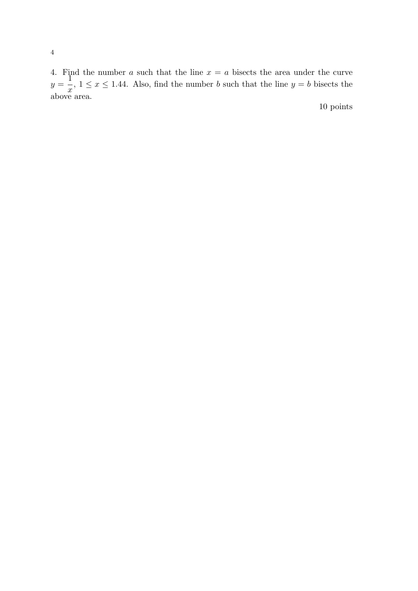4. Find the number a such that the line  $x = a$  bisects the area under the curve  $y =$  $\tilde{1}$  $\overline{x}$ ,  $1 \leq x \leq 1.44$ . Also, find the number b such that the line  $y = b$  bisects the above area.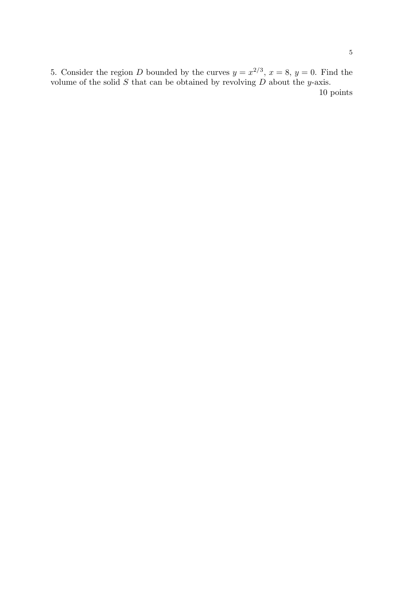5. Consider the region D bounded by the curves  $y = x^{2/3}$ ,  $x = 8$ ,  $y = 0$ . Find the volume of the solid  $S$  that can be obtained by revolving  $D$  about the y-axis.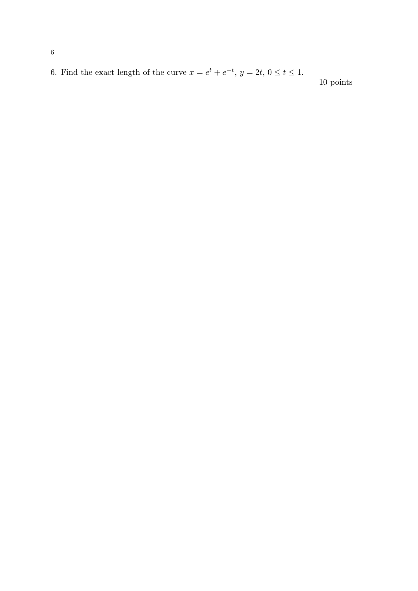6. Find the exact length of the curve  $x = e^t + e^{-t}$ ,  $y = 2t$ ,  $0 \le t \le 1$ .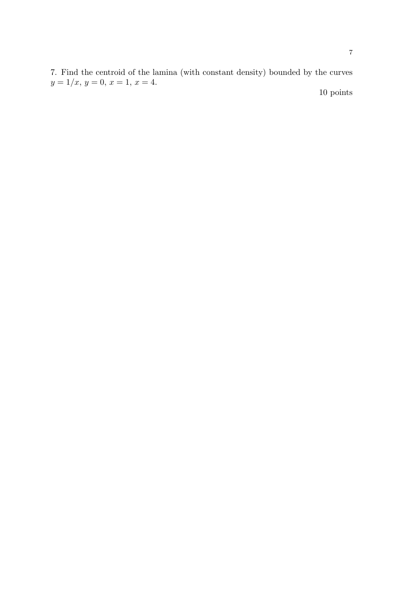7. Find the centroid of the lamina (with constant density) bounded by the curves  $y = 1/x, y = 0, x = 1, x = 4.$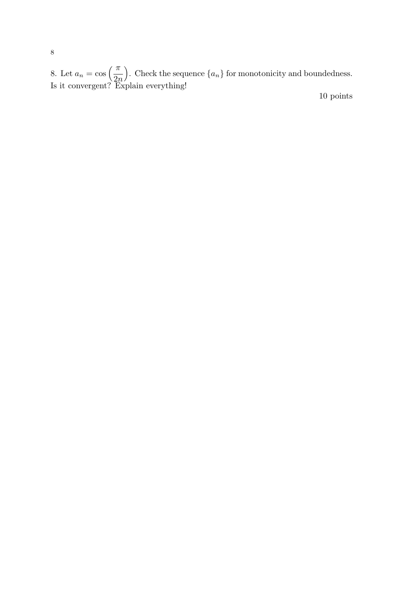8. Let  $a_n = \cos\left(\frac{\pi}{2n}\right)$ ). Check the sequence  $\{a_n\}$  for monotonicity and boundedness. Is it convergent? Explain everything!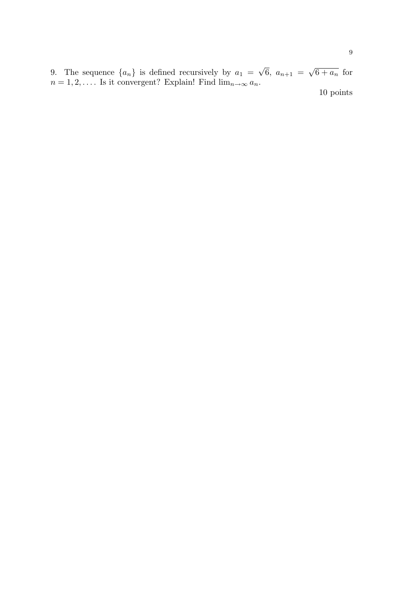9. The sequence  $\{a_n\}$  is defined recursively by  $a_1 =$ √  $6, a_{n+1} =$ √  $6 + a_n$  for  $n = 1, 2, \dots$  Is it convergent? Explain! Find  $\lim_{n \to \infty} a_n$ .